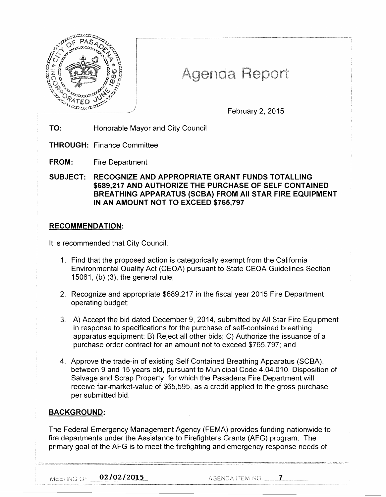

# Agenda Report

February 2, 2015

**TO:** Honorable Mayor and City Council

**THROUGH:** Finance Committee

**FROM:** Fire Department

**SUBJECT: RECOGNIZE AND APPROPRIATE GRANT FUNDS TOTALLING \$689,217 AND AUTHORIZE THE PURCHASE OF SELF CONTAINED BREATHING APPARATUS (SCBA) FROM All STAR FIRE EQUIPMENT IN AN AMOUNT NOT TO EXCEED \$765,797** 

## **RECOMMENDATION:**

It is recommended that City Council:

- 1. Find that the proposed action is categorically exempt from the California Environmental Quality Act (CEQA) pursuant to State CEQA Guidelines Section 15061, (b) (3), the general rule;
- 2. Recognize and appropriate \$689,217 in the fiscal year 2015 Fire Department operating budget;
- 3. A) Accept the bid dated December 9, 2014, submitted by All Star Fire Equipment in response to specifications for the purchase of self-contained breathing apparatus equipment; B) Reject all other bids; C) Authorize the issuance of a purchase order contract for an amount not to exceed \$765, 797; and
- 4. Approve the trade-in of existing Self Contained Breathing Apparatus (SCBA), between 9 and 15 years old, pursuant to Municipal Code 4.04.010, Disposition of Salvage and Scrap Property, for which the Pasadena Fire Department will receive fair-market-value of \$65,595, as a credit applied to the gross purchase per submitted bid.

# **BACKGROUND:**

The Federal Emergency Management Agency (FEMA) provides funding nationwide to fire departments under the Assistance to Firefighters Grants (AFG) program. The primary goal of the AFG is to meet the firefighting and emergency response needs of

02/02/2015 MEETING OF

 $AGENDA$  item no.  $\qquad \qquad \blacksquare$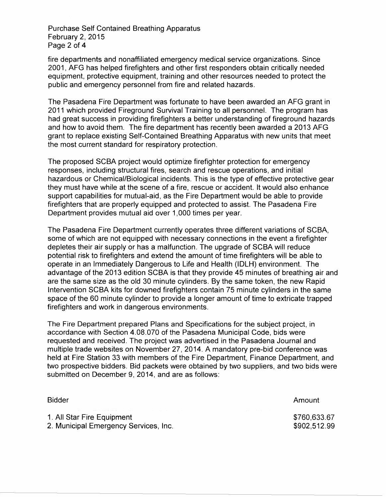Purchase Self Contained Breathing Apparatus February 2, 2015 Page 2 of 4

fire departments and nonaffiliated emergency medical service organizations. Since 2001, AFG has helped firefighters and other first responders obtain critically needed equipment, protective equipment, training and other resources needed to protect the public and emergency personnel from fire and related hazards.

The Pasadena Fire Department was fortunate to have been awarded an AFG grant in 2011 which provided Fireground Survival Training to all personnel. The program has had great success in providing firefighters a better understanding of fireground hazards and how to avoid them. The fire department has recently been awarded a 2013 AFG grant to replace existing Self-Contained Breathing Apparatus with new units that meet the most current standard for respiratory protection.

The proposed SCBA project would optimize firefighter protection for emergency responses, including structural fires, search and rescue operations, and initial hazardous or Chemical/Biological incidents. This is the type of effective protective gear they must have while at the scene of a fire, rescue or accident. It would also enhance support capabilities for mutual-aid, as the Fire Department would be able to provide firefighters that are properly equipped and protected to assist. The Pasadena Fire Department provides mutual aid over 1,000 times per year.

The Pasadena Fire Department currently operates three different variations of SCBA, some of which are not equipped with necessary connections in the event a firefighter depletes their air supply or has a malfunction. The upgrade of SCBA will reduce potential risk to firefighters and extend the amount of time firefighters will be able to operate in an Immediately Dangerous to Life and Health (IDLH) environment. The advantage of the 2013 edition SCBA is that they provide 45 minutes of breathing air and are the same size as the old 30 minute cylinders. By the same token, the new Rapid Intervention SCBA kits for downed firefighters contain 75 minute cylinders in the same space of the 60 minute cylinder to provide a longer amount of time to extricate trapped firefighters and work in dangerous environments.

The Fire Department prepared Plans and Specifications for the subject project, in accordance with Section 4.08.070 of the Pasadena Municipal Code, bids were requested and received. The project was advertised in the Pasadena Journal and multiple trade websites on November 27, 2014. A mandatory pre-bid conference was held at Fire Station 33 with members of the Fire Department, Finance Department, and two prospective bidders. Bid packets were obtained by two suppliers, and two bids were submitted on December 9, 2014, and are as follows:

Bidder 1. All Star Fire Equipment 2. Municipal Emergency Services, Inc. Amount \$760,633.67 \$902,512.99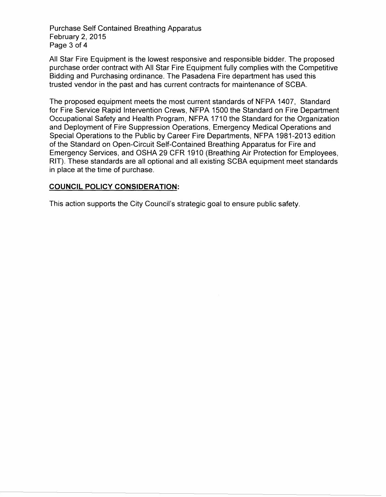Purchase Self Contained Breathing Apparatus February 2, 2015 Page 3 of 4

All Star Fire Equipment is the lowest responsive and responsible bidder. The proposed purchase order contract with All Star Fire Equipment fully complies with the Competitive Bidding and Purchasing ordinance. The Pasadena Fire department has used this trusted vendor in the past and has current contracts for maintenance of SCBA.

The proposed equipment meets the most current standards of NFPA 1407, Standard for Fire Service Rapid Intervention Crews, NFPA 1500 the Standard on Fire Department Occupational Safety and Health Program, NFPA 1710 the Standard for the Organization and Deployment of Fire Suppression Operations, Emergency Medical Operations and Special Operations to the Public by Career Fire Departments, NFPA 1981-2013 edition of the Standard on Open-Circuit Self-Contained Breathing Apparatus for Fire and Emergency Services, and OSHA 29 CFR 1910 (Breathing Air Protection for Employees, RIT). These standards are all optional and all existing SCBA equipment meet standards in place at the time of purchase.

## **COUNCIL POLICY CONSIDERATION:**

This action supports the City Council's strategic goal to ensure public safety.